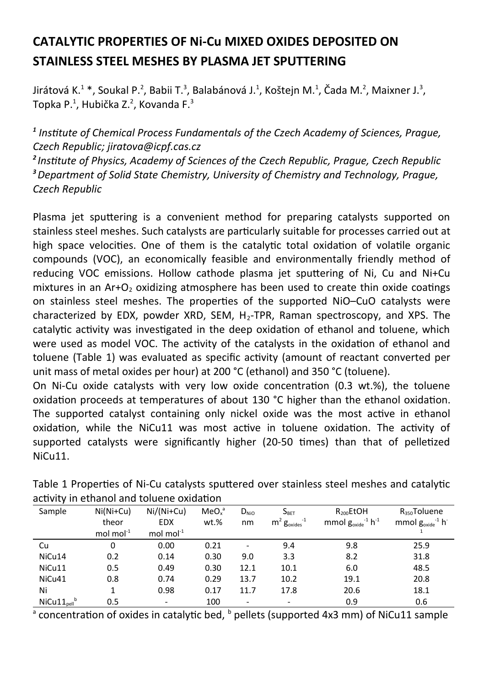## **CATALYTIC PROPERTIES OF Ni-Cu MIXED OXIDES DEPOSITED ON STAINLESS STEEL MESHES BY PLASMA JET SPUTTERING**

Jirátová K. $^1$ \*, Soukal P. $^2$ , Babii T. $^3$ , Balabánová J. $^1$ , Koštejn M. $^1$ , Čada M. $^2$ , Maixner J. $^3$ , Topka P.<sup>1</sup>, Hubička Z.<sup>2</sup>, Kovanda F.<sup>3</sup>

*1 Institute of Chemical Process Fundamentals of the Czech Academy of Sciences, Prague, Czech Republic; jiratova@icpf.cas.cz* 

*<sup>2</sup>Institute of Physics, Academy of Sciences of the Czech Republic, Prague, Czech Republic <sup>3</sup>Department of Solid State Chemistry, University of Chemistry and Technology, Prague, Czech Republic*

Plasma jet sputtering is a convenient method for preparing catalysts supported on stainless steel meshes. Such catalysts are particularly suitable for processes carried out at high space velocities. One of them is the catalytic total oxidation of volatile organic compounds (VOC), an economically feasible and environmentally friendly method of reducing VOC emissions. Hollow cathode plasma jet sputtering of Ni, Cu and Ni+Cu mixtures in an  $Ar+O<sub>2</sub>$  oxidizing atmosphere has been used to create thin oxide coatings on stainless steel meshes. The properties of the supported NiO–CuO catalysts were characterized by EDX, powder XRD, SEM, H<sub>2</sub>-TPR, Raman spectroscopy, and XPS. The catalytic activity was investigated in the deep oxidation of ethanol and toluene, which were used as model VOC. The activity of the catalysts in the oxidation of ethanol and toluene (Table 1) was evaluated as specific activity (amount of reactant converted per unit mass of metal oxides per hour) at 200 °C (ethanol) and 350 °C (toluene).

On Ni-Cu oxide catalysts with very low oxide concentration (0.3 wt.%), the toluene oxidation proceeds at temperatures of about 130 °C higher than the ethanol oxidation. The supported catalyst containing only nickel oxide was the most active in ethanol oxidation, while the NiCu11 was most active in toluene oxidation. The activity of supported catalysts were significantly higher (20-50 times) than that of pelletized NiCu11.

| Sample              | $Ni(Ni+Cu)$     | $Ni/(Ni+Cu)$             | MeO <sub>x</sub> <sup>a</sup> | $D_{\text{NiO}}$         | $S_{\text{BET}}$               | $R_{200}$ EtOH                               | $R_{350}$ Toluene              |
|---------------------|-----------------|--------------------------|-------------------------------|--------------------------|--------------------------------|----------------------------------------------|--------------------------------|
|                     | theor           | <b>EDX</b>               | wt.%                          | nm                       | $m^2$ $g_{\text{oxides}}^{-1}$ | mmol $g_{\text{oxide}}^{-1}$ h <sup>-1</sup> | mmol $g_{\text{oxide}}^{-1}$ h |
|                     | mol mol $^{-1}$ | mol mol $^{-1}$          |                               |                          |                                |                                              |                                |
| Cu                  | 0               | 0.00                     | 0.21                          |                          | 9.4                            | 9.8                                          | 25.9                           |
| NiCu14              | 0.2             | 0.14                     | 0.30                          | 9.0                      | 3.3                            | 8.2                                          | 31.8                           |
| NiCu11              | 0.5             | 0.49                     | 0.30                          | 12.1                     | 10.1                           | 6.0                                          | 48.5                           |
| NiCu41              | 0.8             | 0.74                     | 0.29                          | 13.7                     | 10.2                           | 19.1                                         | 20.8                           |
| Ni                  | 1               | 0.98                     | 0.17                          | 11.7                     | 17.8                           | 20.6                                         | 18.1                           |
| $NiCu11_{cell}^{b}$ | 0.5             | $\overline{\phantom{a}}$ | 100                           | $\overline{\phantom{0}}$ | $\overline{\phantom{a}}$       | 0.9                                          | 0.6                            |

Table 1 Properties of Ni-Cu catalysts sputtered over stainless steel meshes and catalytic activity in ethanol and toluene oxidation

 $^{\circ}$  concentration of oxides in catalytic bed,  $^{\circ}$  pellets (supported 4x3 mm) of NiCu11 sample